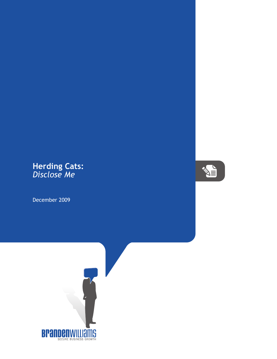## **Herding Cats:** *Disclose Me*

December 2009



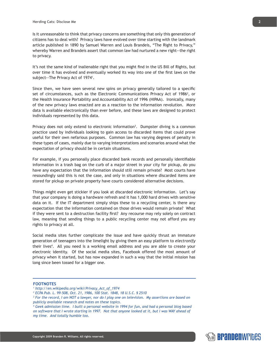Is it unreasonable to think that privacy concerns are something that only this generation of citizens has to deal with? Privacy laws have evolved over time starting with the landmark article published in 1890 by Samuel Warren and Louis Brandeis, "The Right to Privacy," whereby Warren and Brandeis assert that common law had nurtured a new right--the right to privacy.

It's not the same kind of inalienable right that you might find in the US Bill of Rights, but over time it has evolved and eventually worked its way into one of the first laws on the subject--The Privacy Act of 1974<sup>1</sup>.

Since then, we have seen several new spins on privacy generally tailored to a specific set of circumstances, such as the Electronic Communications Privacy Act of 1986<sup>2</sup>, or the Health Insurance Portability and Accountability Act of 1996 (HIPAA). Ironically, many of the new privacy laws enacted are as a reaction to the information revolution. More data is available electronically than ever before, and these laws are designed to protect individuals represented by this data.

Privacy does not only extend to electronic information<sup>3</sup>. Dumpster diving is a common practice used by individuals looking to gain access to discarded items that could prove useful for their own nefarious purposes. Common law has varying degrees of penalty in these types of cases, mainly due to varying interpretations and scenarios around what the expectation of privacy should be in certain situations.

For example, if you personally place discarded bank records and personally identifiable information in a trash bag on the curb of a major street in your city for pickup, do you have any expectation that the information should still remain private? Most courts have resoundingly said this is not the case, and only in situations where discarded items are stored for pickup on private property have courts considered alternative decisions.

Things might even get stickier if you look at discarded electronic information. Let's say that your company is doing a hardware refresh and it has 1,000 hard drives with sensitive data on it. If the IT department simply ships these to a recycling center, is there any expectation that the information contained on those drives would remain private? What if they were sent to a destruction facility first? Any recourse may rely solely on contract law, meaning that sending things to a public recycling center may not afford you any rights to privacy at all.

Social media sites further complicate the issue and have quickly thrust an immature generation of teenagers into the limelight by giving them an easy platform to *electronify* their lives4 . All you need is a working email address and you are able to create your electronic identity. Of the social media sites, Facebook offered the most amount of privacy when it started, but has now expanded in such a way that the initial mission has long since been tossed for a bigger one.

## **FOOTNOTES**



*<sup>1</sup> http://en.wikipedia.org/wiki/Privacy\_Act\_of\_1974*

*<sup>2</sup> ECPA Pub. L. 99-508, Oct. 21, 1986, 100 Stat. 1848, 18 U.S.C. § 2510*

<sup>&</sup>lt;sup>3</sup> For the record, I am NOT a lawyer, nor do I play one on television. My assertions are based on  $\,$ *publicly available research and notes on these topics.*

*<sup>4</sup> Geek admission time. I built a personal website in 1994 for fun, and had a personal blog based on software that I wrote starting in 1997. Not that anyone looked at it, but I was WAY ahead of my time. And totally humble too.*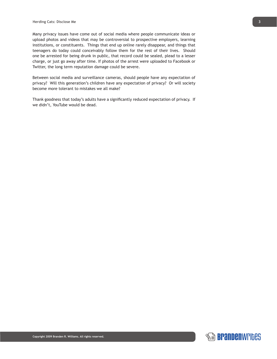Many privacy issues have come out of social media where people communicate ideas or upload photos and videos that may be controversial to prospective employers, learning institutions, or constituents. Things that end up online rarely disappear, and things that teenagers do today could conceivably follow them for the rest of their lives. Should one be arrested for being drunk in public, that record could be sealed, plead to a lesser charge, or just go away after time. If photos of the arrest were uploaded to Facebook or Twitter, the long term reputation damage could be severe.

Between social media and surveillance cameras, should people have any expectation of privacy? Will this generation's children have any expectation of privacy? Or will society become more tolerant to mistakes we all make?

Thank goodness that today's adults have a significantly reduced expectation of privacy. If we didn't, YouTube would be dead.